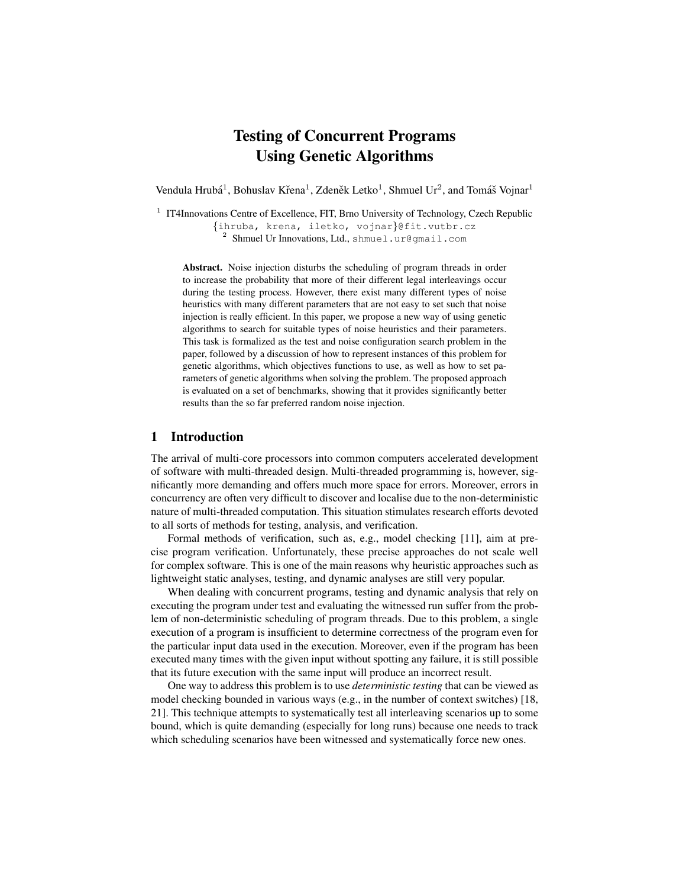# Testing of Concurrent Programs Using Genetic Algorithms

Vendula Hrubá<sup>1</sup>, Bohuslav Křena<sup>1</sup>, Zdeněk Letko<sup>1</sup>, Shmuel Ur<sup>2</sup>, and Tomáš Vojnar<sup>1</sup>

<sup>1</sup> IT4Innovations Centre of Excellence, FIT, Brno University of Technology, Czech Republic {ihruba, krena, iletko, vojnar}@fit.vutbr.cz

2 Shmuel Ur Innovations, Ltd., shmuel.ur@gmail.com

Abstract. Noise injection disturbs the scheduling of program threads in order to increase the probability that more of their different legal interleavings occur during the testing process. However, there exist many different types of noise heuristics with many different parameters that are not easy to set such that noise injection is really efficient. In this paper, we propose a new way of using genetic algorithms to search for suitable types of noise heuristics and their parameters. This task is formalized as the test and noise configuration search problem in the paper, followed by a discussion of how to represent instances of this problem for genetic algorithms, which objectives functions to use, as well as how to set parameters of genetic algorithms when solving the problem. The proposed approach is evaluated on a set of benchmarks, showing that it provides significantly better results than the so far preferred random noise injection.

# 1 Introduction

The arrival of multi-core processors into common computers accelerated development of software with multi-threaded design. Multi-threaded programming is, however, significantly more demanding and offers much more space for errors. Moreover, errors in concurrency are often very difficult to discover and localise due to the non-deterministic nature of multi-threaded computation. This situation stimulates research efforts devoted to all sorts of methods for testing, analysis, and verification.

Formal methods of verification, such as, e.g., model checking [11], aim at precise program verification. Unfortunately, these precise approaches do not scale well for complex software. This is one of the main reasons why heuristic approaches such as lightweight static analyses, testing, and dynamic analyses are still very popular.

When dealing with concurrent programs, testing and dynamic analysis that rely on executing the program under test and evaluating the witnessed run suffer from the problem of non-deterministic scheduling of program threads. Due to this problem, a single execution of a program is insufficient to determine correctness of the program even for the particular input data used in the execution. Moreover, even if the program has been executed many times with the given input without spotting any failure, it is still possible that its future execution with the same input will produce an incorrect result.

One way to address this problem is to use *deterministic testing* that can be viewed as model checking bounded in various ways (e.g., in the number of context switches) [18, 21]. This technique attempts to systematically test all interleaving scenarios up to some bound, which is quite demanding (especially for long runs) because one needs to track which scheduling scenarios have been witnessed and systematically force new ones.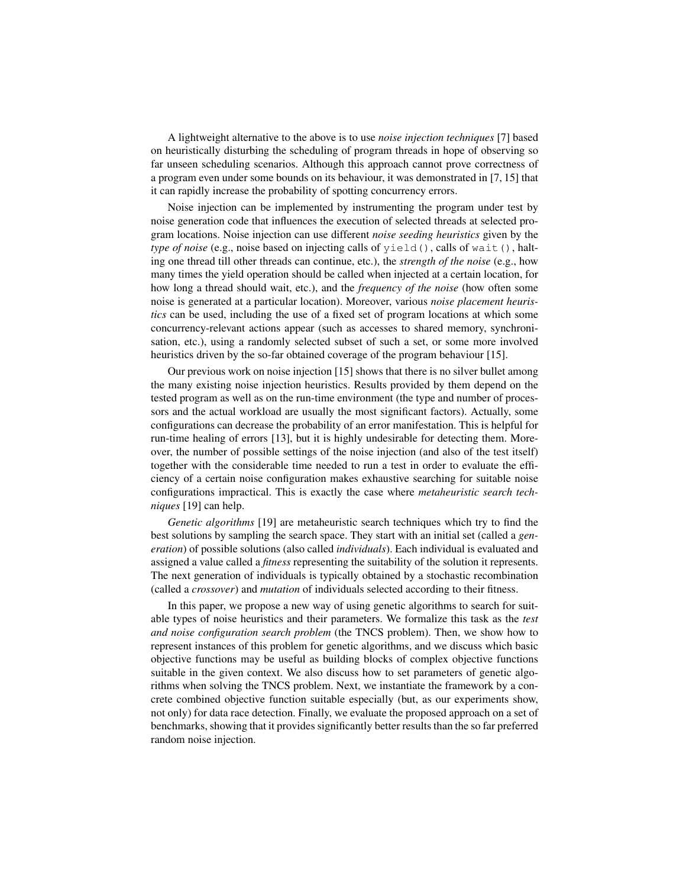A lightweight alternative to the above is to use *noise injection techniques* [7] based on heuristically disturbing the scheduling of program threads in hope of observing so far unseen scheduling scenarios. Although this approach cannot prove correctness of a program even under some bounds on its behaviour, it was demonstrated in [7, 15] that it can rapidly increase the probability of spotting concurrency errors.

Noise injection can be implemented by instrumenting the program under test by noise generation code that influences the execution of selected threads at selected program locations. Noise injection can use different *noise seeding heuristics* given by the *type of noise* (e.g., noise based on injecting calls of yield(), calls of wait(), halting one thread till other threads can continue, etc.), the *strength of the noise* (e.g., how many times the yield operation should be called when injected at a certain location, for how long a thread should wait, etc.), and the *frequency of the noise* (how often some noise is generated at a particular location). Moreover, various *noise placement heuristics* can be used, including the use of a fixed set of program locations at which some concurrency-relevant actions appear (such as accesses to shared memory, synchronisation, etc.), using a randomly selected subset of such a set, or some more involved heuristics driven by the so-far obtained coverage of the program behaviour [15].

Our previous work on noise injection [15] shows that there is no silver bullet among the many existing noise injection heuristics. Results provided by them depend on the tested program as well as on the run-time environment (the type and number of processors and the actual workload are usually the most significant factors). Actually, some configurations can decrease the probability of an error manifestation. This is helpful for run-time healing of errors [13], but it is highly undesirable for detecting them. Moreover, the number of possible settings of the noise injection (and also of the test itself) together with the considerable time needed to run a test in order to evaluate the efficiency of a certain noise configuration makes exhaustive searching for suitable noise configurations impractical. This is exactly the case where *metaheuristic search techniques* [19] can help.

*Genetic algorithms* [19] are metaheuristic search techniques which try to find the best solutions by sampling the search space. They start with an initial set (called a *generation*) of possible solutions (also called *individuals*). Each individual is evaluated and assigned a value called a *fitness* representing the suitability of the solution it represents. The next generation of individuals is typically obtained by a stochastic recombination (called a *crossover*) and *mutation* of individuals selected according to their fitness.

In this paper, we propose a new way of using genetic algorithms to search for suitable types of noise heuristics and their parameters. We formalize this task as the *test and noise configuration search problem* (the TNCS problem). Then, we show how to represent instances of this problem for genetic algorithms, and we discuss which basic objective functions may be useful as building blocks of complex objective functions suitable in the given context. We also discuss how to set parameters of genetic algorithms when solving the TNCS problem. Next, we instantiate the framework by a concrete combined objective function suitable especially (but, as our experiments show, not only) for data race detection. Finally, we evaluate the proposed approach on a set of benchmarks, showing that it provides significantly better results than the so far preferred random noise injection.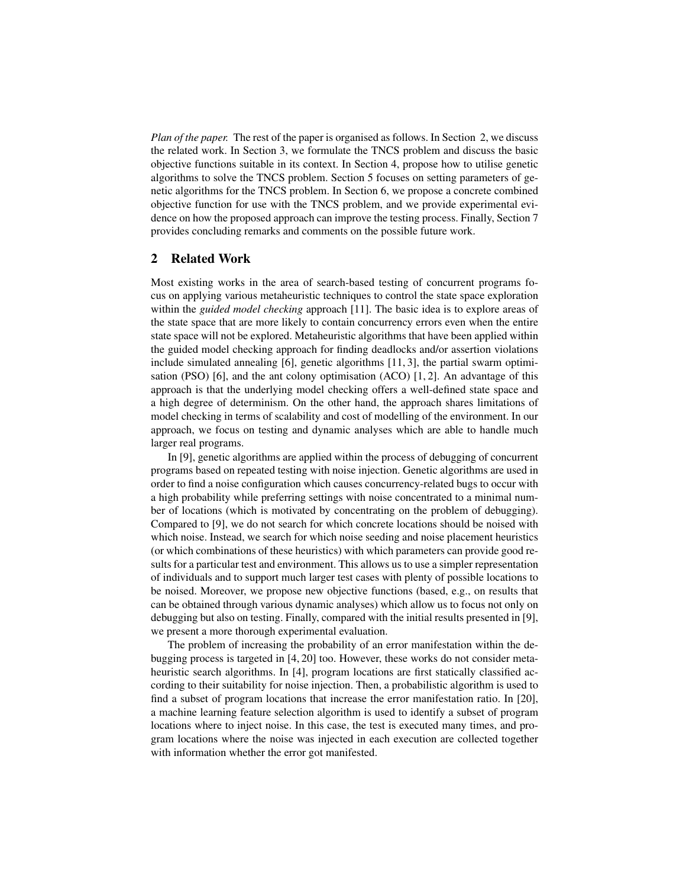*Plan of the paper.* The rest of the paper is organised as follows. In Section 2, we discuss the related work. In Section 3, we formulate the TNCS problem and discuss the basic objective functions suitable in its context. In Section 4, propose how to utilise genetic algorithms to solve the TNCS problem. Section 5 focuses on setting parameters of genetic algorithms for the TNCS problem. In Section 6, we propose a concrete combined objective function for use with the TNCS problem, and we provide experimental evidence on how the proposed approach can improve the testing process. Finally, Section 7 provides concluding remarks and comments on the possible future work.

# 2 Related Work

Most existing works in the area of search-based testing of concurrent programs focus on applying various metaheuristic techniques to control the state space exploration within the *guided model checking* approach [11]. The basic idea is to explore areas of the state space that are more likely to contain concurrency errors even when the entire state space will not be explored. Metaheuristic algorithms that have been applied within the guided model checking approach for finding deadlocks and/or assertion violations include simulated annealing [6], genetic algorithms [11, 3], the partial swarm optimisation (PSO) [6], and the ant colony optimisation (ACO) [1, 2]. An advantage of this approach is that the underlying model checking offers a well-defined state space and a high degree of determinism. On the other hand, the approach shares limitations of model checking in terms of scalability and cost of modelling of the environment. In our approach, we focus on testing and dynamic analyses which are able to handle much larger real programs.

In [9], genetic algorithms are applied within the process of debugging of concurrent programs based on repeated testing with noise injection. Genetic algorithms are used in order to find a noise configuration which causes concurrency-related bugs to occur with a high probability while preferring settings with noise concentrated to a minimal number of locations (which is motivated by concentrating on the problem of debugging). Compared to [9], we do not search for which concrete locations should be noised with which noise. Instead, we search for which noise seeding and noise placement heuristics (or which combinations of these heuristics) with which parameters can provide good results for a particular test and environment. This allows us to use a simpler representation of individuals and to support much larger test cases with plenty of possible locations to be noised. Moreover, we propose new objective functions (based, e.g., on results that can be obtained through various dynamic analyses) which allow us to focus not only on debugging but also on testing. Finally, compared with the initial results presented in [9], we present a more thorough experimental evaluation.

The problem of increasing the probability of an error manifestation within the debugging process is targeted in [4, 20] too. However, these works do not consider metaheuristic search algorithms. In [4], program locations are first statically classified according to their suitability for noise injection. Then, a probabilistic algorithm is used to find a subset of program locations that increase the error manifestation ratio. In [20], a machine learning feature selection algorithm is used to identify a subset of program locations where to inject noise. In this case, the test is executed many times, and program locations where the noise was injected in each execution are collected together with information whether the error got manifested.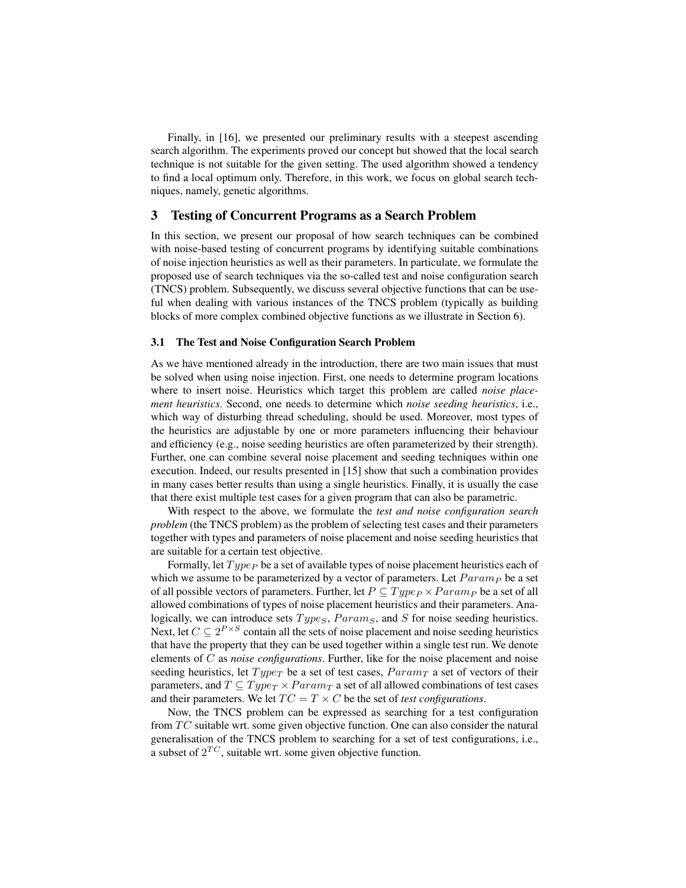Finally, in [16], we presented our preliminary results with a steepest ascending search algorithm. The experiments proved our concept but showed that the local search technique is not suitable for the given setting. The used algorithm showed a tendency to find a local optimum only. Therefore, in this work, we focus on global search techniques, namely, genetic algorithms.

### 3 Testing of Concurrent Programs as a Search Problem

In this section, we present our proposal of how search techniques can be combined with noise-based testing of concurrent programs by identifying suitable combinations of noise injection heuristics as well as their parameters. In particulate, we formulate the proposed use of search techniques via the so-called test and noise configuration search (TNCS) problem. Subsequently, we discuss several objective functions that can be useful when dealing with various instances of the TNCS problem (typically as building blocks of more complex combined objective functions as we illustrate in Section 6).

### 3.1 The Test and Noise Configuration Search Problem

As we have mentioned already in the introduction, there are two main issues that must be solved when using noise injection. First, one needs to determine program locations where to insert noise. Heuristics which target this problem are called *noise placement heuristics*. Second, one needs to determine which *noise seeding heuristics*, i.e., which way of disturbing thread scheduling, should be used. Moreover, most types of the heuristics are adjustable by one or more parameters influencing their behaviour and efficiency (e.g., noise seeding heuristics are often parameterized by their strength). Further, one can combine several noise placement and seeding techniques within one execution. Indeed, our results presented in [15] show that such a combination provides in many cases better results than using a single heuristics. Finally, it is usually the case that there exist multiple test cases for a given program that can also be parametric.

With respect to the above, we formulate the *test and noise configuration search problem* (the TNCS problem) as the problem of selecting test cases and their parameters together with types and parameters of noise placement and noise seeding heuristics that are suitable for a certain test objective.

Formally, let  $Type<sub>P</sub>$  be a set of available types of noise placement heuristics each of which we assume to be parameterized by a vector of parameters. Let  $Param_P$  be a set of all possible vectors of parameters. Further, let  $P \subseteq Type_P \times Param_P$  be a set of all allowed combinations of types of noise placement heuristics and their parameters. Analogically, we can introduce sets  $Types, Param_S$ , and S for noise seeding heuristics. Next, let  $C \subseteq 2^{P \times S}$  contain all the sets of noise placement and noise seeding heuristics that have the property that they can be used together within a single test run. We denote elements of C as *noise configurations*. Further, like for the noise placement and noise seeding heuristics, let  $Type_T$  be a set of test cases,  $Param_T$  a set of vectors of their parameters, and  $T \subseteq Type_T \times Param_T$  a set of all allowed combinations of test cases and their parameters. We let  $TC = T \times C$  be the set of *test configurations*.

Now, the TNCS problem can be expressed as searching for a test configuration from  $TC$  suitable wrt. some given objective function. One can also consider the natural generalisation of the TNCS problem to searching for a set of test configurations, i.e., a subset of  $2^{TC}$ , suitable wrt. some given objective function.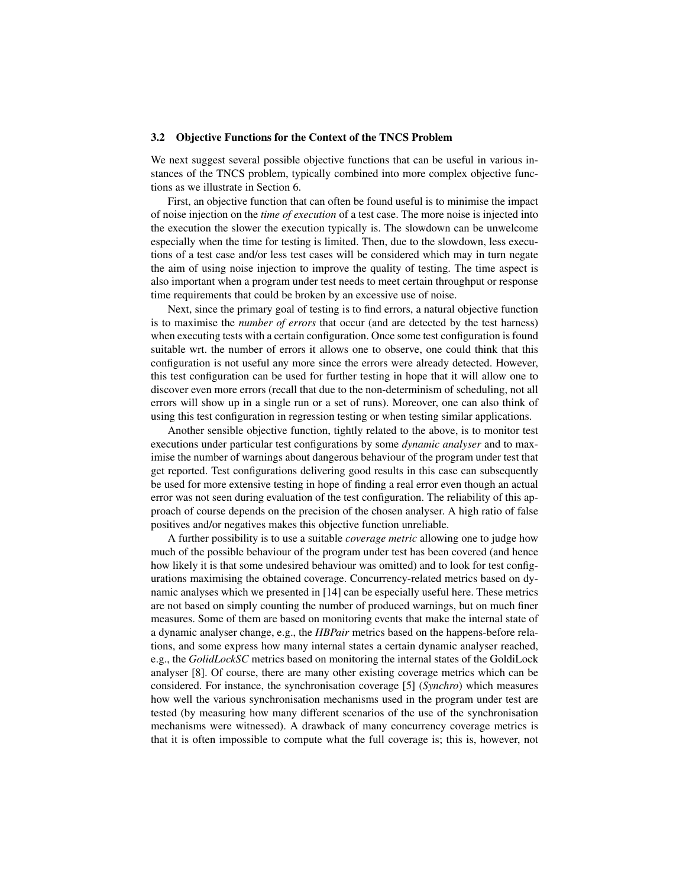### 3.2 Objective Functions for the Context of the TNCS Problem

We next suggest several possible objective functions that can be useful in various instances of the TNCS problem, typically combined into more complex objective functions as we illustrate in Section 6.

First, an objective function that can often be found useful is to minimise the impact of noise injection on the *time of execution* of a test case. The more noise is injected into the execution the slower the execution typically is. The slowdown can be unwelcome especially when the time for testing is limited. Then, due to the slowdown, less executions of a test case and/or less test cases will be considered which may in turn negate the aim of using noise injection to improve the quality of testing. The time aspect is also important when a program under test needs to meet certain throughput or response time requirements that could be broken by an excessive use of noise.

Next, since the primary goal of testing is to find errors, a natural objective function is to maximise the *number of errors* that occur (and are detected by the test harness) when executing tests with a certain configuration. Once some test configuration is found suitable wrt. the number of errors it allows one to observe, one could think that this configuration is not useful any more since the errors were already detected. However, this test configuration can be used for further testing in hope that it will allow one to discover even more errors (recall that due to the non-determinism of scheduling, not all errors will show up in a single run or a set of runs). Moreover, one can also think of using this test configuration in regression testing or when testing similar applications.

Another sensible objective function, tightly related to the above, is to monitor test executions under particular test configurations by some *dynamic analyser* and to maximise the number of warnings about dangerous behaviour of the program under test that get reported. Test configurations delivering good results in this case can subsequently be used for more extensive testing in hope of finding a real error even though an actual error was not seen during evaluation of the test configuration. The reliability of this approach of course depends on the precision of the chosen analyser. A high ratio of false positives and/or negatives makes this objective function unreliable.

A further possibility is to use a suitable *coverage metric* allowing one to judge how much of the possible behaviour of the program under test has been covered (and hence how likely it is that some undesired behaviour was omitted) and to look for test configurations maximising the obtained coverage. Concurrency-related metrics based on dynamic analyses which we presented in [14] can be especially useful here. These metrics are not based on simply counting the number of produced warnings, but on much finer measures. Some of them are based on monitoring events that make the internal state of a dynamic analyser change, e.g., the *HBPair* metrics based on the happens-before relations, and some express how many internal states a certain dynamic analyser reached, e.g., the *GolidLockSC* metrics based on monitoring the internal states of the GoldiLock analyser [8]. Of course, there are many other existing coverage metrics which can be considered. For instance, the synchronisation coverage [5] (*Synchro*) which measures how well the various synchronisation mechanisms used in the program under test are tested (by measuring how many different scenarios of the use of the synchronisation mechanisms were witnessed). A drawback of many concurrency coverage metrics is that it is often impossible to compute what the full coverage is; this is, however, not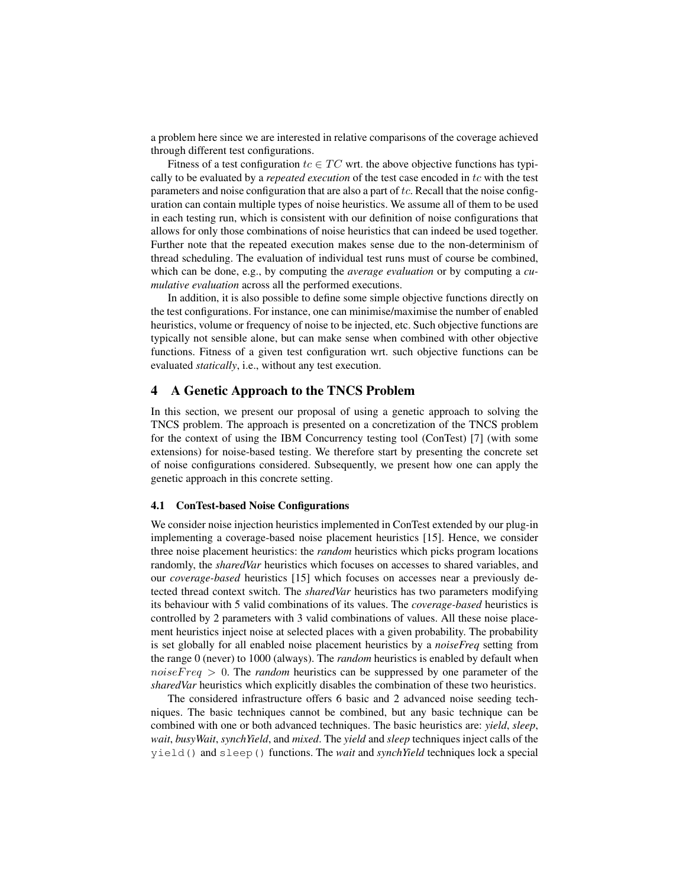a problem here since we are interested in relative comparisons of the coverage achieved through different test configurations.

Fitness of a test configuration  $tc \in TC$  wrt. the above objective functions has typically to be evaluated by a *repeated execution* of the test case encoded in tc with the test parameters and noise configuration that are also a part of  $tc$ . Recall that the noise configuration can contain multiple types of noise heuristics. We assume all of them to be used in each testing run, which is consistent with our definition of noise configurations that allows for only those combinations of noise heuristics that can indeed be used together. Further note that the repeated execution makes sense due to the non-determinism of thread scheduling. The evaluation of individual test runs must of course be combined, which can be done, e.g., by computing the *average evaluation* or by computing a *cumulative evaluation* across all the performed executions.

In addition, it is also possible to define some simple objective functions directly on the test configurations. For instance, one can minimise/maximise the number of enabled heuristics, volume or frequency of noise to be injected, etc. Such objective functions are typically not sensible alone, but can make sense when combined with other objective functions. Fitness of a given test configuration wrt. such objective functions can be evaluated *statically*, i.e., without any test execution.

### 4 A Genetic Approach to the TNCS Problem

In this section, we present our proposal of using a genetic approach to solving the TNCS problem. The approach is presented on a concretization of the TNCS problem for the context of using the IBM Concurrency testing tool (ConTest) [7] (with some extensions) for noise-based testing. We therefore start by presenting the concrete set of noise configurations considered. Subsequently, we present how one can apply the genetic approach in this concrete setting.

### 4.1 ConTest-based Noise Configurations

We consider noise injection heuristics implemented in ConTest extended by our plug-in implementing a coverage-based noise placement heuristics [15]. Hence, we consider three noise placement heuristics: the *random* heuristics which picks program locations randomly, the *sharedVar* heuristics which focuses on accesses to shared variables, and our *coverage-based* heuristics [15] which focuses on accesses near a previously detected thread context switch. The *sharedVar* heuristics has two parameters modifying its behaviour with 5 valid combinations of its values. The *coverage-based* heuristics is controlled by 2 parameters with 3 valid combinations of values. All these noise placement heuristics inject noise at selected places with a given probability. The probability is set globally for all enabled noise placement heuristics by a *noiseFreq* setting from the range 0 (never) to 1000 (always). The *random* heuristics is enabled by default when  $noiseFreq > 0$ . The *random* heuristics can be suppressed by one parameter of the *sharedVar* heuristics which explicitly disables the combination of these two heuristics.

The considered infrastructure offers 6 basic and 2 advanced noise seeding techniques. The basic techniques cannot be combined, but any basic technique can be combined with one or both advanced techniques. The basic heuristics are: *yield*, *sleep*, *wait*, *busyWait*, *synchYield*, and *mixed*. The *yield* and *sleep* techniques inject calls of the yield() and sleep() functions. The *wait* and *synchYield* techniques lock a special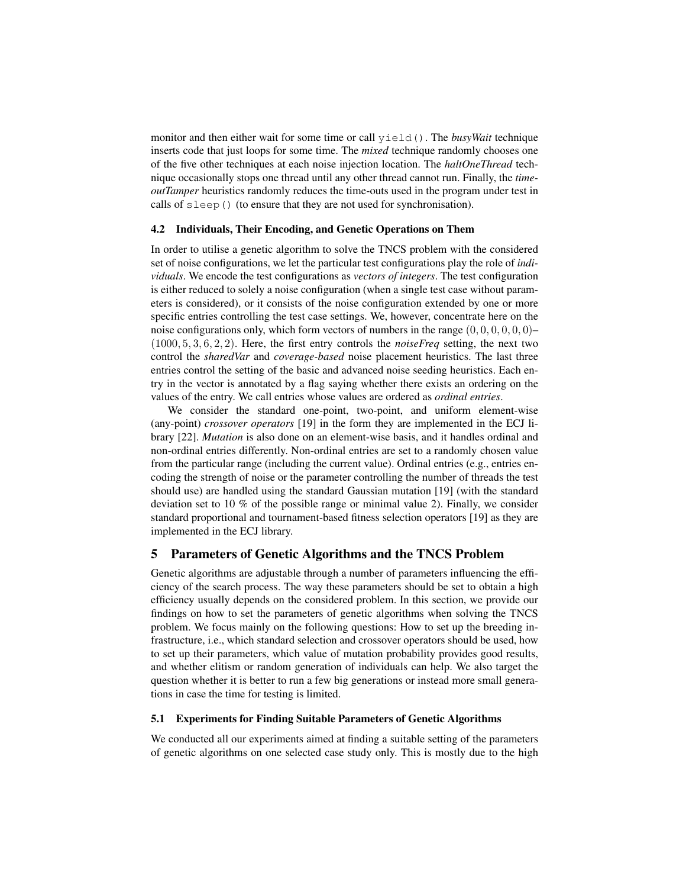monitor and then either wait for some time or call yield(). The *busyWait* technique inserts code that just loops for some time. The *mixed* technique randomly chooses one of the five other techniques at each noise injection location. The *haltOneThread* technique occasionally stops one thread until any other thread cannot run. Finally, the *timeoutTamper* heuristics randomly reduces the time-outs used in the program under test in calls of sleep() (to ensure that they are not used for synchronisation).

### 4.2 Individuals, Their Encoding, and Genetic Operations on Them

In order to utilise a genetic algorithm to solve the TNCS problem with the considered set of noise configurations, we let the particular test configurations play the role of *individuals*. We encode the test configurations as *vectors of integers*. The test configuration is either reduced to solely a noise configuration (when a single test case without parameters is considered), or it consists of the noise configuration extended by one or more specific entries controlling the test case settings. We, however, concentrate here on the noise configurations only, which form vectors of numbers in the range  $(0, 0, 0, 0, 0, 0)$ – (1000, 5, 3, 6, 2, 2). Here, the first entry controls the *noiseFreq* setting, the next two control the *sharedVar* and *coverage-based* noise placement heuristics. The last three entries control the setting of the basic and advanced noise seeding heuristics. Each entry in the vector is annotated by a flag saying whether there exists an ordering on the values of the entry. We call entries whose values are ordered as *ordinal entries*.

We consider the standard one-point, two-point, and uniform element-wise (any-point) *crossover operators* [19] in the form they are implemented in the ECJ library [22]. *Mutation* is also done on an element-wise basis, and it handles ordinal and non-ordinal entries differently. Non-ordinal entries are set to a randomly chosen value from the particular range (including the current value). Ordinal entries (e.g., entries encoding the strength of noise or the parameter controlling the number of threads the test should use) are handled using the standard Gaussian mutation [19] (with the standard deviation set to 10 % of the possible range or minimal value 2). Finally, we consider standard proportional and tournament-based fitness selection operators [19] as they are implemented in the ECJ library.

# 5 Parameters of Genetic Algorithms and the TNCS Problem

Genetic algorithms are adjustable through a number of parameters influencing the efficiency of the search process. The way these parameters should be set to obtain a high efficiency usually depends on the considered problem. In this section, we provide our findings on how to set the parameters of genetic algorithms when solving the TNCS problem. We focus mainly on the following questions: How to set up the breeding infrastructure, i.e., which standard selection and crossover operators should be used, how to set up their parameters, which value of mutation probability provides good results, and whether elitism or random generation of individuals can help. We also target the question whether it is better to run a few big generations or instead more small generations in case the time for testing is limited.

### 5.1 Experiments for Finding Suitable Parameters of Genetic Algorithms

We conducted all our experiments aimed at finding a suitable setting of the parameters of genetic algorithms on one selected case study only. This is mostly due to the high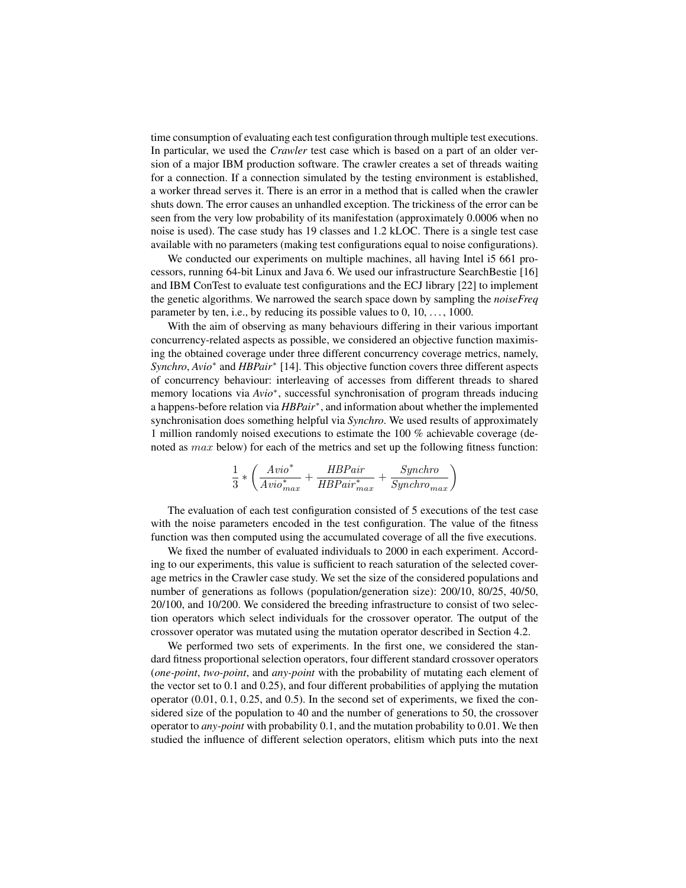time consumption of evaluating each test configuration through multiple test executions. In particular, we used the *Crawler* test case which is based on a part of an older version of a major IBM production software. The crawler creates a set of threads waiting for a connection. If a connection simulated by the testing environment is established, a worker thread serves it. There is an error in a method that is called when the crawler shuts down. The error causes an unhandled exception. The trickiness of the error can be seen from the very low probability of its manifestation (approximately 0.0006 when no noise is used). The case study has 19 classes and 1.2 kLOC. There is a single test case available with no parameters (making test configurations equal to noise configurations).

We conducted our experiments on multiple machines, all having Intel i5 661 processors, running 64-bit Linux and Java 6. We used our infrastructure SearchBestie [16] and IBM ConTest to evaluate test configurations and the ECJ library [22] to implement the genetic algorithms. We narrowed the search space down by sampling the *noiseFreq* parameter by ten, i.e., by reducing its possible values to  $0, 10, \ldots, 1000$ .

With the aim of observing as many behaviours differing in their various important concurrency-related aspects as possible, we considered an objective function maximising the obtained coverage under three different concurrency coverage metrics, namely, *Synchro*, *Avio*<sup>∗</sup> and *HBPair*<sup>∗</sup> [14]. This objective function covers three different aspects of concurrency behaviour: interleaving of accesses from different threads to shared memory locations via *Avio*<sup>∗</sup> , successful synchronisation of program threads inducing a happens-before relation via *HBPair*<sup>∗</sup> , and information about whether the implemented synchronisation does something helpful via *Synchro*. We used results of approximately 1 million randomly noised executions to estimate the 100 % achievable coverage (denoted as *max* below) for each of the metrics and set up the following fitness function:

$$
\frac{1}{3} * \left( \frac{Avio^*}{Avio^*_{max}} + \frac{HBPair}{HBPair^*_{max}} + \frac{Synchro}{Synchro_{max}} \right)
$$

The evaluation of each test configuration consisted of 5 executions of the test case with the noise parameters encoded in the test configuration. The value of the fitness function was then computed using the accumulated coverage of all the five executions.

We fixed the number of evaluated individuals to 2000 in each experiment. According to our experiments, this value is sufficient to reach saturation of the selected coverage metrics in the Crawler case study. We set the size of the considered populations and number of generations as follows (population/generation size): 200/10, 80/25, 40/50, 20/100, and 10/200. We considered the breeding infrastructure to consist of two selection operators which select individuals for the crossover operator. The output of the crossover operator was mutated using the mutation operator described in Section 4.2.

We performed two sets of experiments. In the first one, we considered the standard fitness proportional selection operators, four different standard crossover operators (*one-point*, *two-point*, and *any-point* with the probability of mutating each element of the vector set to 0.1 and 0.25), and four different probabilities of applying the mutation operator (0.01, 0.1, 0.25, and 0.5). In the second set of experiments, we fixed the considered size of the population to 40 and the number of generations to 50, the crossover operator to *any-point* with probability 0.1, and the mutation probability to 0.01. We then studied the influence of different selection operators, elitism which puts into the next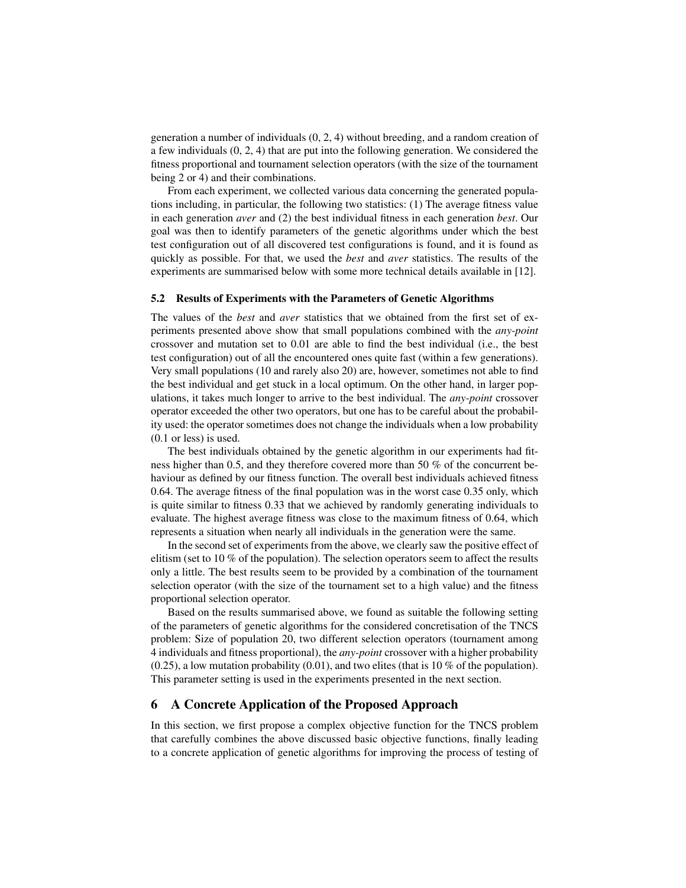generation a number of individuals (0, 2, 4) without breeding, and a random creation of a few individuals (0, 2, 4) that are put into the following generation. We considered the fitness proportional and tournament selection operators (with the size of the tournament being 2 or 4) and their combinations.

From each experiment, we collected various data concerning the generated populations including, in particular, the following two statistics: (1) The average fitness value in each generation *aver* and (2) the best individual fitness in each generation *best*. Our goal was then to identify parameters of the genetic algorithms under which the best test configuration out of all discovered test configurations is found, and it is found as quickly as possible. For that, we used the *best* and *aver* statistics. The results of the experiments are summarised below with some more technical details available in [12].

#### 5.2 Results of Experiments with the Parameters of Genetic Algorithms

The values of the *best* and *aver* statistics that we obtained from the first set of experiments presented above show that small populations combined with the *any-point* crossover and mutation set to 0.01 are able to find the best individual (i.e., the best test configuration) out of all the encountered ones quite fast (within a few generations). Very small populations (10 and rarely also 20) are, however, sometimes not able to find the best individual and get stuck in a local optimum. On the other hand, in larger populations, it takes much longer to arrive to the best individual. The *any-point* crossover operator exceeded the other two operators, but one has to be careful about the probability used: the operator sometimes does not change the individuals when a low probability (0.1 or less) is used.

The best individuals obtained by the genetic algorithm in our experiments had fitness higher than 0.5, and they therefore covered more than 50 % of the concurrent behaviour as defined by our fitness function. The overall best individuals achieved fitness 0.64. The average fitness of the final population was in the worst case 0.35 only, which is quite similar to fitness 0.33 that we achieved by randomly generating individuals to evaluate. The highest average fitness was close to the maximum fitness of 0.64, which represents a situation when nearly all individuals in the generation were the same.

In the second set of experiments from the above, we clearly saw the positive effect of elitism (set to 10 % of the population). The selection operators seem to affect the results only a little. The best results seem to be provided by a combination of the tournament selection operator (with the size of the tournament set to a high value) and the fitness proportional selection operator.

Based on the results summarised above, we found as suitable the following setting of the parameters of genetic algorithms for the considered concretisation of the TNCS problem: Size of population 20, two different selection operators (tournament among 4 individuals and fitness proportional), the *any-point* crossover with a higher probability  $(0.25)$ , a low mutation probability  $(0.01)$ , and two elites (that is 10 % of the population). This parameter setting is used in the experiments presented in the next section.

### 6 A Concrete Application of the Proposed Approach

In this section, we first propose a complex objective function for the TNCS problem that carefully combines the above discussed basic objective functions, finally leading to a concrete application of genetic algorithms for improving the process of testing of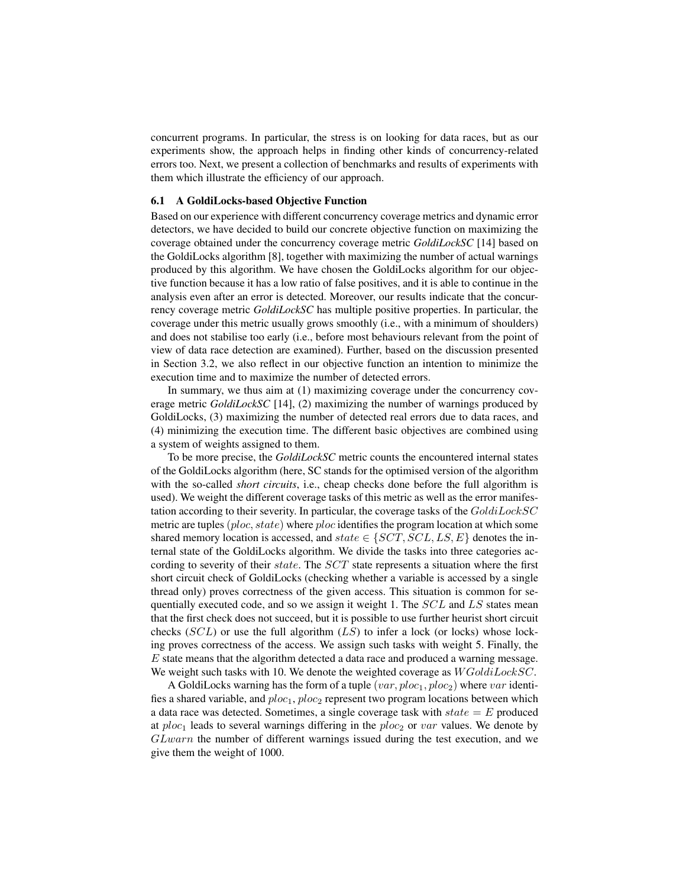concurrent programs. In particular, the stress is on looking for data races, but as our experiments show, the approach helps in finding other kinds of concurrency-related errors too. Next, we present a collection of benchmarks and results of experiments with them which illustrate the efficiency of our approach.

#### 6.1 A GoldiLocks-based Objective Function

Based on our experience with different concurrency coverage metrics and dynamic error detectors, we have decided to build our concrete objective function on maximizing the coverage obtained under the concurrency coverage metric *GoldiLockSC* [14] based on the GoldiLocks algorithm [8], together with maximizing the number of actual warnings produced by this algorithm. We have chosen the GoldiLocks algorithm for our objective function because it has a low ratio of false positives, and it is able to continue in the analysis even after an error is detected. Moreover, our results indicate that the concurrency coverage metric *GoldiLockSC* has multiple positive properties. In particular, the coverage under this metric usually grows smoothly (i.e., with a minimum of shoulders) and does not stabilise too early (i.e., before most behaviours relevant from the point of view of data race detection are examined). Further, based on the discussion presented in Section 3.2, we also reflect in our objective function an intention to minimize the execution time and to maximize the number of detected errors.

In summary, we thus aim at (1) maximizing coverage under the concurrency coverage metric *GoldiLockSC* [14], (2) maximizing the number of warnings produced by GoldiLocks, (3) maximizing the number of detected real errors due to data races, and (4) minimizing the execution time. The different basic objectives are combined using a system of weights assigned to them.

To be more precise, the *GoldiLockSC* metric counts the encountered internal states of the GoldiLocks algorithm (here, SC stands for the optimised version of the algorithm with the so-called *short circuits*, i.e., cheap checks done before the full algorithm is used). We weight the different coverage tasks of this metric as well as the error manifestation according to their severity. In particular, the coverage tasks of the  $GoldiLockSC$ metric are tuples (ploc, state) where ploc identifies the program location at which some shared memory location is accessed, and  $state \in \{SCT, SCL, LS, E\}$  denotes the internal state of the GoldiLocks algorithm. We divide the tasks into three categories according to severity of their *state*. The *SCT* state represents a situation where the first short circuit check of GoldiLocks (checking whether a variable is accessed by a single thread only) proves correctness of the given access. This situation is common for sequentially executed code, and so we assign it weight 1. The  $SCL$  and  $LS$  states mean that the first check does not succeed, but it is possible to use further heurist short circuit checks  $(SCL)$  or use the full algorithm  $(LS)$  to infer a lock (or locks) whose locking proves correctness of the access. We assign such tasks with weight 5. Finally, the E state means that the algorithm detected a data race and produced a warning message. We weight such tasks with 10. We denote the weighted coverage as  $WGoldilLockSC$ .

A GoldiLocks warning has the form of a tuple  $(var, ploc_1, ploc_2)$  where var identifies a shared variable, and  $ploc_1, ploc_2$  represent two program locations between which a data race was detected. Sometimes, a single coverage task with  $state = E$  produced at ploc<sub>1</sub> leads to several warnings differing in the ploc<sub>2</sub> or var values. We denote by GLwarn the number of different warnings issued during the test execution, and we give them the weight of 1000.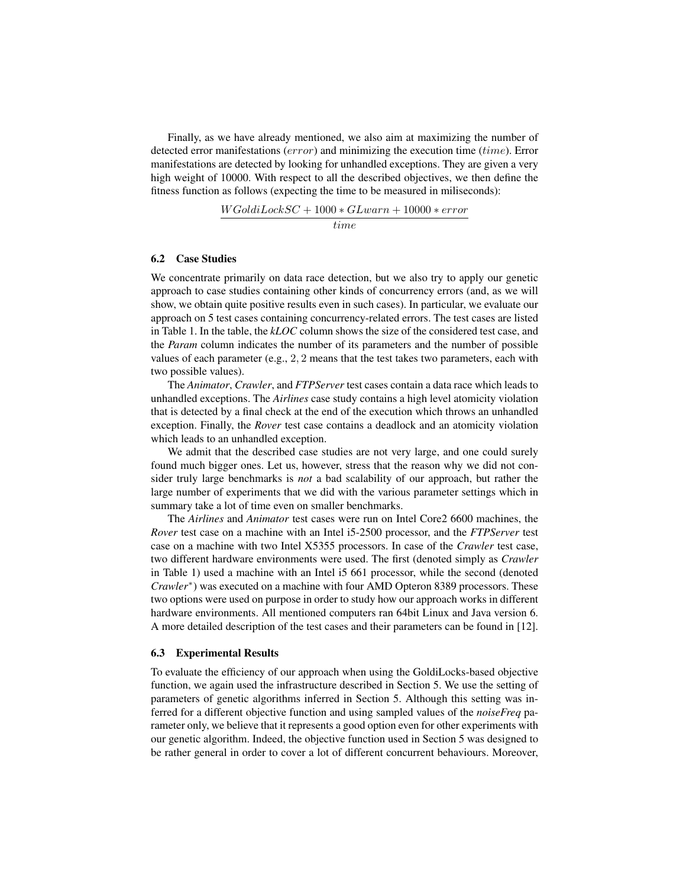Finally, as we have already mentioned, we also aim at maximizing the number of detected error manifestations (error) and minimizing the execution time (time). Error manifestations are detected by looking for unhandled exceptions. They are given a very high weight of 10000. With respect to all the described objectives, we then define the fitness function as follows (expecting the time to be measured in miliseconds):

$$
\frac{WGoldilLockSC + 1000 * GLwarn + 10000 * error}{time}
$$

### 6.2 Case Studies

We concentrate primarily on data race detection, but we also try to apply our genetic approach to case studies containing other kinds of concurrency errors (and, as we will show, we obtain quite positive results even in such cases). In particular, we evaluate our approach on 5 test cases containing concurrency-related errors. The test cases are listed in Table 1. In the table, the *kLOC* column shows the size of the considered test case, and the *Param* column indicates the number of its parameters and the number of possible values of each parameter (e.g., 2, 2 means that the test takes two parameters, each with two possible values).

The *Animator*, *Crawler*, and *FTPServer* test cases contain a data race which leads to unhandled exceptions. The *Airlines* case study contains a high level atomicity violation that is detected by a final check at the end of the execution which throws an unhandled exception. Finally, the *Rover* test case contains a deadlock and an atomicity violation which leads to an unhandled exception.

We admit that the described case studies are not very large, and one could surely found much bigger ones. Let us, however, stress that the reason why we did not consider truly large benchmarks is *not* a bad scalability of our approach, but rather the large number of experiments that we did with the various parameter settings which in summary take a lot of time even on smaller benchmarks.

The *Airlines* and *Animator* test cases were run on Intel Core2 6600 machines, the *Rover* test case on a machine with an Intel i5-2500 processor, and the *FTPServer* test case on a machine with two Intel X5355 processors. In case of the *Crawler* test case, two different hardware environments were used. The first (denoted simply as *Crawler* in Table 1) used a machine with an Intel i5 661 processor, while the second (denoted *Crawler*<sup>∗</sup> ) was executed on a machine with four AMD Opteron 8389 processors. These two options were used on purpose in order to study how our approach works in different hardware environments. All mentioned computers ran 64bit Linux and Java version 6. A more detailed description of the test cases and their parameters can be found in [12].

#### 6.3 Experimental Results

To evaluate the efficiency of our approach when using the GoldiLocks-based objective function, we again used the infrastructure described in Section 5. We use the setting of parameters of genetic algorithms inferred in Section 5. Although this setting was inferred for a different objective function and using sampled values of the *noiseFreq* parameter only, we believe that it represents a good option even for other experiments with our genetic algorithm. Indeed, the objective function used in Section 5 was designed to be rather general in order to cover a lot of different concurrent behaviours. Moreover,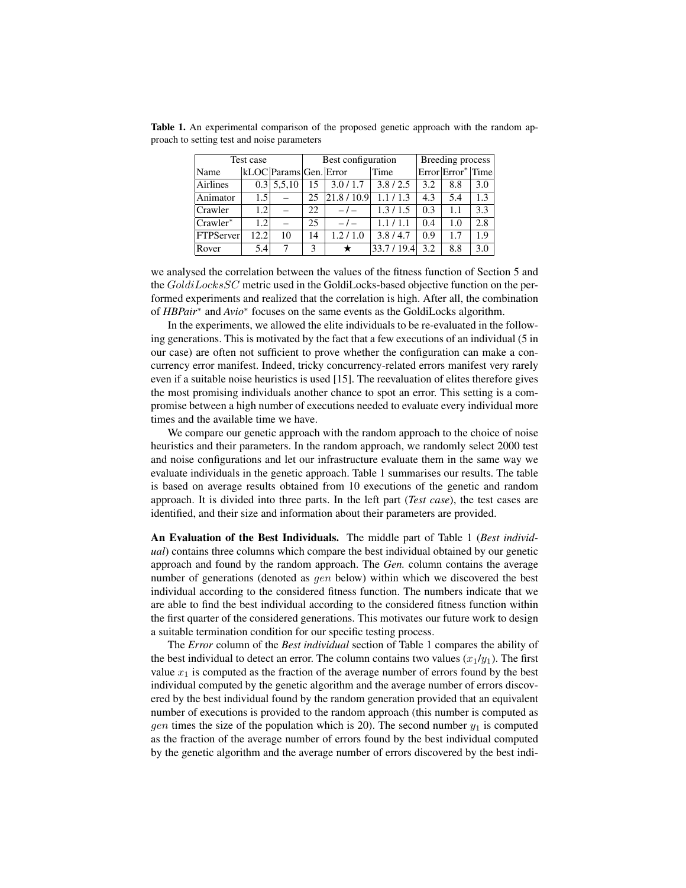Test case Best configuration Breeding process Name |kLOC | Params Gen. Error | Time | Error Error \* | Time Airlines 0.3 5,5,10 15 3.0 / 1.7 3.8 / 2.5 3.2 8.8 3.0 Animator  $\begin{vmatrix} 1.5 & - \ 25 & 21.8 / 10.9 & 1.1 / 1.3 & 4.3 & 5.4 & 1.3 \end{vmatrix}$ Crawler | 1.2 – 22 |  $-/-$  | 1.3 / 1.5 | 0.3 | 1.1 | 3.3 Crawler<sup>∗</sup>  $1.2$  – 25 –  $-1$  1.1 / 1.1 0.4 1.0 2.8 FTPServer 12.2 10 14 1.2 / 1.0 3.8 / 4.7 0.9 1.7 1.9 Rover | 5.4  $\begin{array}{|c|c|c|c|c|c|c|c|} \hline 5.4 & 7 & 3 & \star & 33.7 & 19.4 & 3.2 & 8.8 & 3.0 \\ \hline \end{array}$ 

Table 1. An experimental comparison of the proposed genetic approach with the random approach to setting test and noise parameters

we analysed the correlation between the values of the fitness function of Section 5 and the GoldiLocksSC metric used in the GoldiLocks-based objective function on the performed experiments and realized that the correlation is high. After all, the combination of *HBPair*<sup>∗</sup> and *Avio*<sup>∗</sup> focuses on the same events as the GoldiLocks algorithm.

In the experiments, we allowed the elite individuals to be re-evaluated in the following generations. This is motivated by the fact that a few executions of an individual (5 in our case) are often not sufficient to prove whether the configuration can make a concurrency error manifest. Indeed, tricky concurrency-related errors manifest very rarely even if a suitable noise heuristics is used [15]. The reevaluation of elites therefore gives the most promising individuals another chance to spot an error. This setting is a compromise between a high number of executions needed to evaluate every individual more times and the available time we have.

We compare our genetic approach with the random approach to the choice of noise heuristics and their parameters. In the random approach, we randomly select 2000 test and noise configurations and let our infrastructure evaluate them in the same way we evaluate individuals in the genetic approach. Table 1 summarises our results. The table is based on average results obtained from 10 executions of the genetic and random approach. It is divided into three parts. In the left part (*Test case*), the test cases are identified, and their size and information about their parameters are provided.

An Evaluation of the Best Individuals. The middle part of Table 1 (*Best individual*) contains three columns which compare the best individual obtained by our genetic approach and found by the random approach. The *Gen.* column contains the average number of generations (denoted as *gen* below) within which we discovered the best individual according to the considered fitness function. The numbers indicate that we are able to find the best individual according to the considered fitness function within the first quarter of the considered generations. This motivates our future work to design a suitable termination condition for our specific testing process.

The *Error* column of the *Best individual* section of Table 1 compares the ability of the best individual to detect an error. The column contains two values  $(x_1/y_1)$ . The first value  $x_1$  is computed as the fraction of the average number of errors found by the best individual computed by the genetic algorithm and the average number of errors discovered by the best individual found by the random generation provided that an equivalent number of executions is provided to the random approach (this number is computed as *gen* times the size of the population which is 20). The second number  $y_1$  is computed as the fraction of the average number of errors found by the best individual computed by the genetic algorithm and the average number of errors discovered by the best indi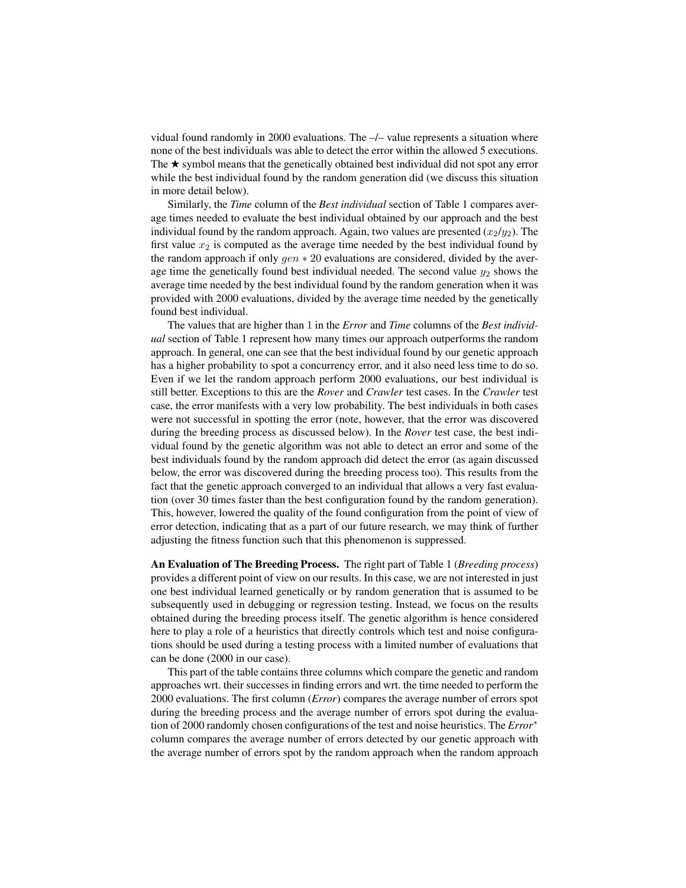vidual found randomly in 2000 evaluations. The –/– value represents a situation where none of the best individuals was able to detect the error within the allowed 5 executions. The ★ symbol means that the genetically obtained best individual did not spot any error while the best individual found by the random generation did (we discuss this situation in more detail below).

Similarly, the *Time* column of the *Best individual* section of Table 1 compares average times needed to evaluate the best individual obtained by our approach and the best individual found by the random approach. Again, two values are presented  $(x_2/y_2)$ . The first value  $x_2$  is computed as the average time needed by the best individual found by the random approach if only  $gen * 20$  evaluations are considered, divided by the average time the genetically found best individual needed. The second value  $y_2$  shows the average time needed by the best individual found by the random generation when it was provided with 2000 evaluations, divided by the average time needed by the genetically found best individual.

The values that are higher than 1 in the *Error* and *Time* columns of the *Best individual* section of Table 1 represent how many times our approach outperforms the random approach. In general, one can see that the best individual found by our genetic approach has a higher probability to spot a concurrency error, and it also need less time to do so. Even if we let the random approach perform 2000 evaluations, our best individual is still better. Exceptions to this are the *Rover* and *Crawler* test cases. In the *Crawler* test case, the error manifests with a very low probability. The best individuals in both cases were not successful in spotting the error (note, however, that the error was discovered during the breeding process as discussed below). In the *Rover* test case, the best individual found by the genetic algorithm was not able to detect an error and some of the best individuals found by the random approach did detect the error (as again discussed below, the error was discovered during the breeding process too). This results from the fact that the genetic approach converged to an individual that allows a very fast evaluation (over 30 times faster than the best configuration found by the random generation). This, however, lowered the quality of the found configuration from the point of view of error detection, indicating that as a part of our future research, we may think of further adjusting the fitness function such that this phenomenon is suppressed.

An Evaluation of The Breeding Process. The right part of Table 1 (*Breeding process*) provides a different point of view on our results. In this case, we are not interested in just one best individual learned genetically or by random generation that is assumed to be subsequently used in debugging or regression testing. Instead, we focus on the results obtained during the breeding process itself. The genetic algorithm is hence considered here to play a role of a heuristics that directly controls which test and noise configurations should be used during a testing process with a limited number of evaluations that can be done (2000 in our case).

This part of the table contains three columns which compare the genetic and random approaches wrt. their successes in finding errors and wrt. the time needed to perform the 2000 evaluations. The first column (*Error*) compares the average number of errors spot during the breeding process and the average number of errors spot during the evaluation of 2000 randomly chosen configurations of the test and noise heuristics. The *Error*<sup>∗</sup> column compares the average number of errors detected by our genetic approach with the average number of errors spot by the random approach when the random approach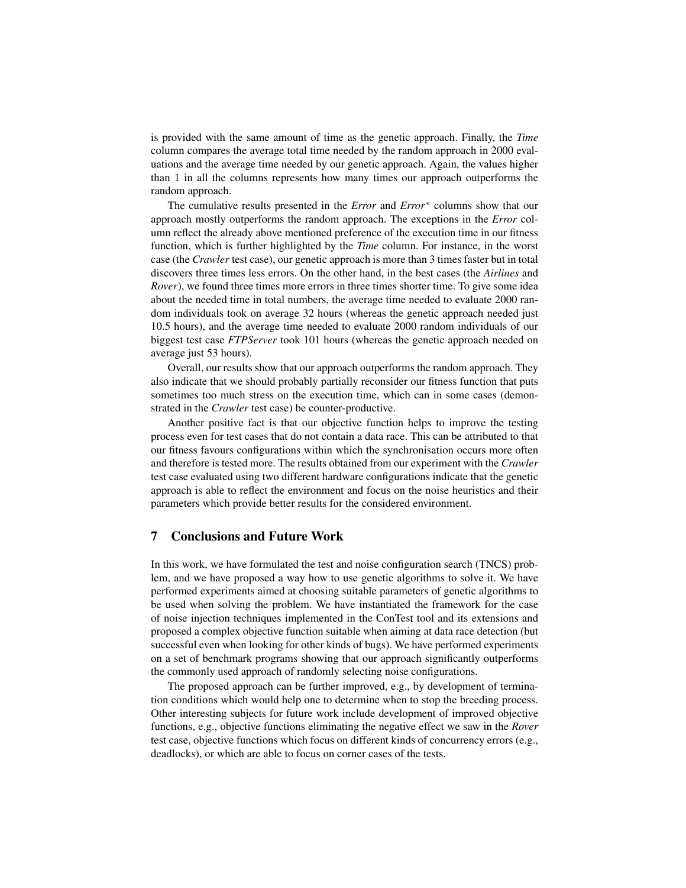is provided with the same amount of time as the genetic approach. Finally, the *Time* column compares the average total time needed by the random approach in 2000 evaluations and the average time needed by our genetic approach. Again, the values higher than 1 in all the columns represents how many times our approach outperforms the random approach.

The cumulative results presented in the *Error* and *Error*<sup>∗</sup> columns show that our approach mostly outperforms the random approach. The exceptions in the *Error* column reflect the already above mentioned preference of the execution time in our fitness function, which is further highlighted by the *Time* column. For instance, in the worst case (the *Crawler* test case), our genetic approach is more than 3 times faster but in total discovers three times less errors. On the other hand, in the best cases (the *Airlines* and *Rover*), we found three times more errors in three times shorter time. To give some idea about the needed time in total numbers, the average time needed to evaluate 2000 random individuals took on average 32 hours (whereas the genetic approach needed just 10.5 hours), and the average time needed to evaluate 2000 random individuals of our biggest test case *FTPServer* took 101 hours (whereas the genetic approach needed on average just 53 hours).

Overall, our results show that our approach outperforms the random approach. They also indicate that we should probably partially reconsider our fitness function that puts sometimes too much stress on the execution time, which can in some cases (demonstrated in the *Crawler* test case) be counter-productive.

Another positive fact is that our objective function helps to improve the testing process even for test cases that do not contain a data race. This can be attributed to that our fitness favours configurations within which the synchronisation occurs more often and therefore is tested more. The results obtained from our experiment with the *Crawler* test case evaluated using two different hardware configurations indicate that the genetic approach is able to reflect the environment and focus on the noise heuristics and their parameters which provide better results for the considered environment.

# 7 Conclusions and Future Work

In this work, we have formulated the test and noise configuration search (TNCS) problem, and we have proposed a way how to use genetic algorithms to solve it. We have performed experiments aimed at choosing suitable parameters of genetic algorithms to be used when solving the problem. We have instantiated the framework for the case of noise injection techniques implemented in the ConTest tool and its extensions and proposed a complex objective function suitable when aiming at data race detection (but successful even when looking for other kinds of bugs). We have performed experiments on a set of benchmark programs showing that our approach significantly outperforms the commonly used approach of randomly selecting noise configurations.

The proposed approach can be further improved, e.g., by development of termination conditions which would help one to determine when to stop the breeding process. Other interesting subjects for future work include development of improved objective functions, e.g., objective functions eliminating the negative effect we saw in the *Rover* test case, objective functions which focus on different kinds of concurrency errors (e.g., deadlocks), or which are able to focus on corner cases of the tests.